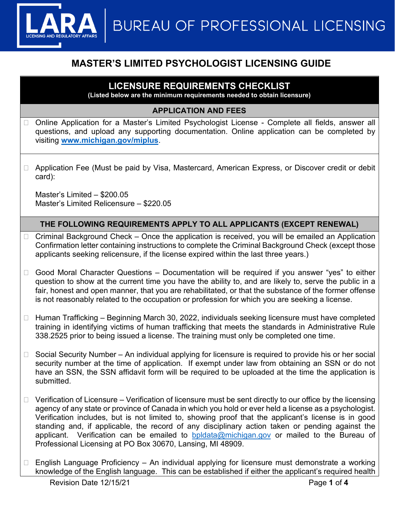

# **MASTER'S LIMITED PSYCHOLOGIST LICENSING GUIDE**

## **LICENSURE REQUIREMENTS CHECKLIST**

**(Listed below are the minimum requirements needed to obtain licensure)**

### **APPLICATION AND FEES**

- □ Online Application for a Master's Limited Psychologist License Complete all fields, answer all questions, and upload any supporting documentation. Online application can be completed by visiting **[www.michigan.gov/miplus](http://www.michigan.gov/miplus)**.
- □ Application Fee (Must be paid by Visa, Mastercard, American Express, or Discover credit or debit card):

Master's Limited – \$200.05 Master's Limited Relicensure – \$220.05

## **THE FOLLOWING REQUIREMENTS APPLY TO ALL APPLICANTS (EXCEPT RENEWAL)**

- $\Box$  Criminal Background Check Once the application is received, you will be emailed an Application Confirmation letter containing instructions to complete the Criminal Background Check (except those applicants seeking relicensure, if the license expired within the last three years.)
- $\Box$  Good Moral Character Questions Documentation will be required if you answer "yes" to either question to show at the current time you have the ability to, and are likely to, serve the public in a fair, honest and open manner, that you are rehabilitated, or that the substance of the former offense is not reasonably related to the occupation or profession for which you are seeking a license.
- $\Box$  Human Trafficking Beginning March 30, 2022, individuals seeking licensure must have completed training in identifying victims of human trafficking that meets the standards in Administrative Rule 338.2525 prior to being issued a license. The training must only be completed one time.
- $\Box$  Social Security Number An individual applying for licensure is required to provide his or her social security number at the time of application. If exempt under law from obtaining an SSN or do not have an SSN, the SSN affidavit form will be required to be uploaded at the time the application is submitted.
- $\Box$  Verification of Licensure Verification of licensure must be sent directly to our office by the licensing agency of any state or province of Canada in which you hold or ever held a license as a psychologist. Verification includes, but is not limited to, showing proof that the applicant's license is in good standing and, if applicable, the record of any disciplinary action taken or pending against the applicant. Verification can be emailed to **[bpldata@michigan.gov](mailto:bpldata@michigan.gov)** or mailed to the Bureau of Professional Licensing at PO Box 30670, Lansing, MI 48909.
- □ English Language Proficiency An individual applying for licensure must demonstrate a working knowledge of the English language. This can be established if either the applicant's required health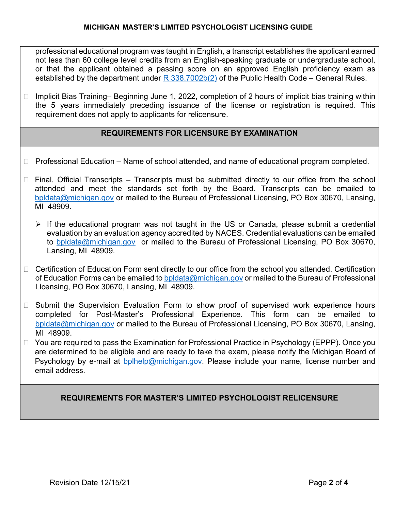professional educational program was taught in English, a transcript establishes the applicant earned not less than 60 college level credits from an English-speaking graduate or undergraduate school, or that the applicant obtained a passing score on an approved English proficiency exam as established by the department under  $R$  338.7002b(2) of the Public Health Code – General Rules.

 $\Box$  Implicit Bias Training– Beginning June 1, 2022, completion of 2 hours of implicit bias training within the 5 years immediately preceding issuance of the license or registration is required. This requirement does not apply to applicants for relicensure.

## **REQUIREMENTS FOR LICENSURE BY EXAMINATION**

- $\Box$  Professional Education Name of school attended, and name of educational program completed.
- $\Box$  Final, Official Transcripts Transcripts must be submitted directly to our office from the school attended and meet the standards set forth by the Board. Transcripts can be emailed to [bpldata@michigan.gov](mailto:bpldata@michigan.gov) or mailed to the Bureau of Professional Licensing, PO Box 30670, Lansing, MI 48909.
	- $\triangleright$  If the educational program was not taught in the US or Canada, please submit a credential evaluation by an evaluation agency accredited by NACES. Credential evaluations can be emailed to [bpldata@michigan.gov](mailto:bpldata@michigan.gov) or mailed to the Bureau of Professional Licensing, PO Box 30670, Lansing, MI 48909.
- □ Certification of Education Form sent directly to our office from the school you attended. Certification of Education Forms can be emailed t[o bpldata@michigan.gov](mailto:bpldata@michigan.gov) or mailed to the Bureau of Professional Licensing, PO Box 30670, Lansing, MI 48909.
- $\Box$  Submit the Supervision Evaluation Form to show proof of supervised work experience hours completed for Post-Master's Professional Experience. This form can be emailed to [bpldata@michigan.gov](mailto:bpldata@michigan.gov) or mailed to the Bureau of Professional Licensing, PO Box 30670, Lansing, MI 48909.
- □ You are required to pass the Examination for Professional Practice in Psychology (EPPP). Once you are determined to be eligible and are ready to take the exam, please notify the Michigan Board of Psychology by e-mail at [bplhelp@michigan.gov.](mailto:bplhelp@michigan.gov) Please include your name, license number and email address.

## **REQUIREMENTS FOR MASTER'S LIMITED PSYCHOLOGIST RELICENSURE**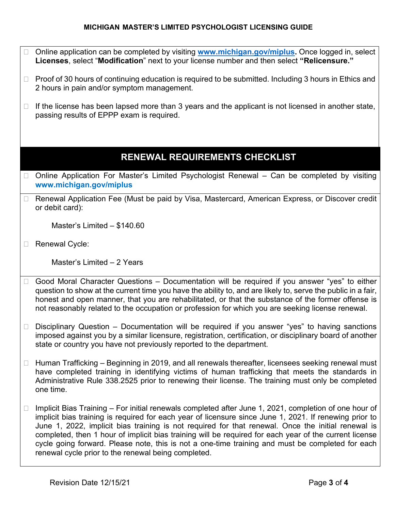#### **MICHIGAN MASTER'S LIMITED PSYCHOLOGIST LICENSING GUIDE**

- Online application can be completed by visiting **[www.michigan.gov/miplus.](http://www.michigan.gov/miplus)** Once logged in, select **Licenses**, select "**Modification**" next to your license number and then select **"Relicensure."**
- $\Box$  Proof of 30 hours of continuing education is required to be submitted. Including 3 hours in Ethics and 2 hours in pain and/or symptom management.
- $\Box$  If the license has been lapsed more than 3 years and the applicant is not licensed in another state, passing results of EPPP exam is required.

## **RENEWAL REQUIREMENTS CHECKLIST**

- □ Online Application For Master's Limited Psychologist Renewal Can be completed by visiting **www.michigan.gov/miplus**
- □ Renewal Application Fee (Must be paid by Visa, Mastercard, American Express, or Discover credit or debit card):

Master's Limited – \$140.60

□ Renewal Cycle:

Master's Limited – 2 Years

- $\Box$  Good Moral Character Questions Documentation will be required if you answer "yes" to either question to show at the current time you have the ability to, and are likely to, serve the public in a fair, honest and open manner, that you are rehabilitated, or that the substance of the former offense is not reasonably related to the occupation or profession for which you are seeking license renewal.
- $\Box$  Disciplinary Question Documentation will be required if you answer "yes" to having sanctions imposed against you by a similar licensure, registration, certification, or disciplinary board of another state or country you have not previously reported to the department.
- $\Box$  Human Trafficking Beginning in 2019, and all renewals thereafter, licensees seeking renewal must have completed training in identifying victims of human trafficking that meets the standards in Administrative Rule 338.2525 prior to renewing their license. The training must only be completed one time.
- $\Box$  Implicit Bias Training For initial renewals completed after June 1, 2021, completion of one hour of implicit bias training is required for each year of licensure since June 1, 2021. If renewing prior to June 1, 2022, implicit bias training is not required for that renewal. Once the initial renewal is completed, then 1 hour of implicit bias training will be required for each year of the current license cycle going forward. Please note, this is not a one-time training and must be completed for each renewal cycle prior to the renewal being completed.